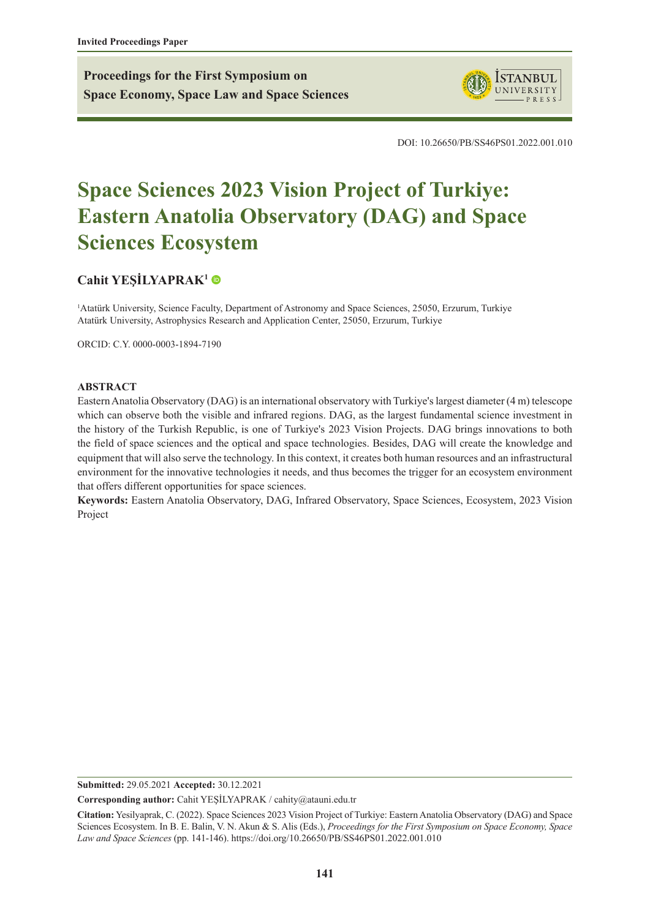**Proceedings for the First Symposium on Space Economy, Space Law and Space Sciences**



DOI: 10.26650/PB/SS46PS01.2022.001.010

# **Space Sciences 2023 Vision Project of Turkiye: Eastern Anatolia Observatory (DAG) and Space Sciences Ecosystem**

### **[Cahit YEŞİLYAPRAK](https://orcid.org/0000-0003-1894-7190)<sup>1</sup>**

1 Atatürk University, Science Faculty, Department of Astronomy and Space Sciences, 25050, Erzurum, Turkiye Atatürk University, Astrophysics Research and Application Center, 25050, Erzurum, Turkiye

ORCID: C.Y. 0000-0003-1894-7190

#### **ABSTRACT**

Eastern Anatolia Observatory (DAG) is an international observatory with Turkiye's largest diameter (4 m) telescope which can observe both the visible and infrared regions. DAG, as the largest fundamental science investment in the history of the Turkish Republic, is one of Turkiye's 2023 Vision Projects. DAG brings innovations to both the field of space sciences and the optical and space technologies. Besides, DAG will create the knowledge and equipment that will also serve the technology. In this context, it creates both human resources and an infrastructural environment for the innovative technologies it needs, and thus becomes the trigger for an ecosystem environment that offers different opportunities for space sciences.

**Keywords:** Eastern Anatolia Observatory, DAG, Infrared Observatory, Space Sciences, Ecosystem, 2023 Vision Project

**Submitted:** 29.05.2021 **Accepted:** 30.12.2021

**Corresponding author:** Cahit YEŞİLYAPRAK / cahity@atauni.edu.tr

**Citation:** Yesilyaprak, C. (2022). Space Sciences 2023 Vision Project of Turkiye: Eastern Anatolia Observatory (DAG) and Space Sciences Ecosystem. In B. E. Balin, V. N. Akun & S. Alis (Eds.), *Proceedings for the First Symposium on Space Economy, Space Law and Space Sciences* (pp. 141-146). https://doi.org/10.26650/PB/SS46PS01.2022.001.010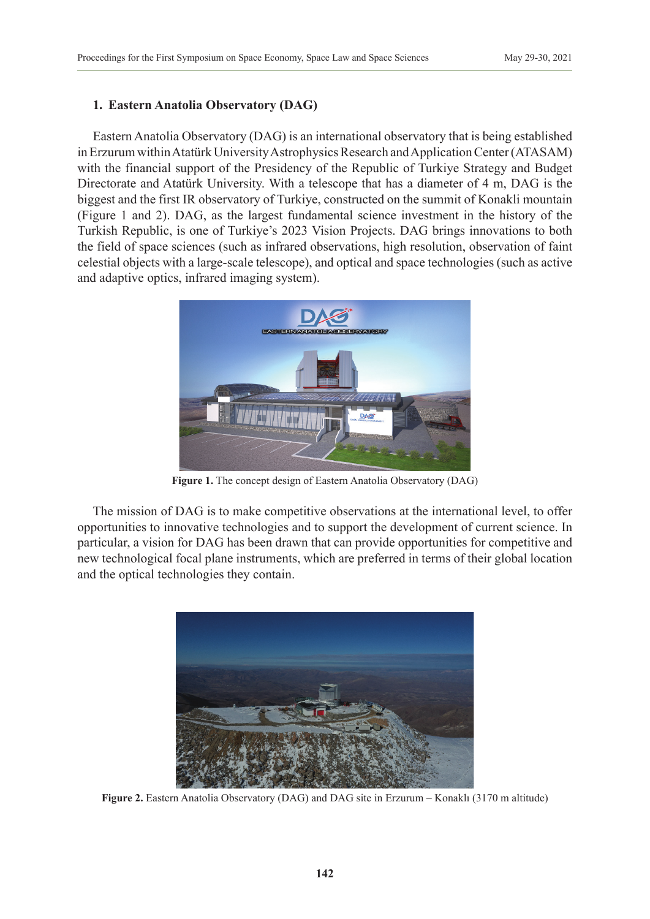### **1. Eastern Anatolia Observatory (DAG)**

Eastern Anatolia Observatory (DAG) is an international observatory that is being established in Erzurum within Atatürk University Astrophysics Research and Application Center (ATASAM) with the financial support of the Presidency of the Republic of Turkiye Strategy and Budget Directorate and Atatürk University. With a telescope that has a diameter of 4 m, DAG is the biggest and the first IR observatory of Turkiye, constructed on the summit of Konakli mountain (Figure 1 and 2). DAG, as the largest fundamental science investment in the history of the Turkish Republic, is one of Turkiye's 2023 Vision Projects. DAG brings innovations to both the field of space sciences (such as infrared observations, high resolution, observation of faint celestial objects with a large-scale telescope), and optical and space technologies (such as active and adaptive optics, infrared imaging system).



**Figure 1.** The concept design of Eastern Anatolia Observatory (DAG)

The mission of DAG is to make competitive observations at the international level, to offer opportunities to innovative technologies and to support the development of current science. In particular, a vision for DAG has been drawn that can provide opportunities for competitive and new technological focal plane instruments, which are preferred in terms of their global location and the optical technologies they contain.



**Figure 2.** Eastern Anatolia Observatory (DAG) and DAG site in Erzurum – Konaklı (3170 m altitude)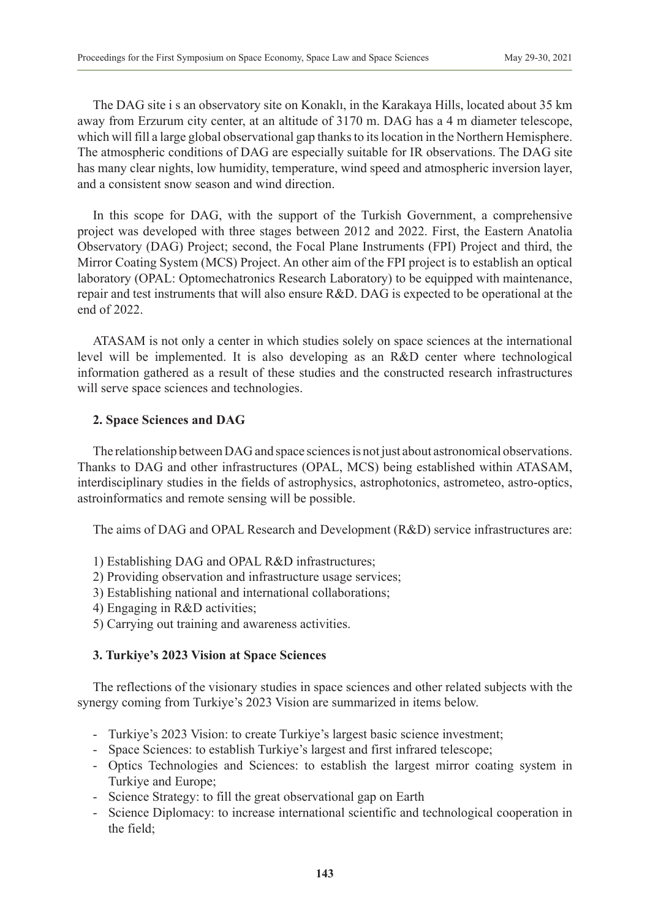The DAG site i s an observatory site on Konaklı, in the Karakaya Hills, located about 35 km away from Erzurum city center, at an altitude of 3170 m. DAG has a 4 m diameter telescope, which will fill a large global observational gap thanks to its location in the Northern Hemisphere. The atmospheric conditions of DAG are especially suitable for IR observations. The DAG site has many clear nights, low humidity, temperature, wind speed and atmospheric inversion layer, and a consistent snow season and wind direction.

In this scope for DAG, with the support of the Turkish Government, a comprehensive project was developed with three stages between 2012 and 2022. First, the Eastern Anatolia Observatory (DAG) Project; second, the Focal Plane Instruments (FPI) Project and third, the Mirror Coating System (MCS) Project. An other aim of the FPI project is to establish an optical laboratory (OPAL: Optomechatronics Research Laboratory) to be equipped with maintenance, repair and test instruments that will also ensure R&D. DAG is expected to be operational at the end of 2022.

ATASAM is not only a center in which studies solely on space sciences at the international level will be implemented. It is also developing as an R&D center where technological information gathered as a result of these studies and the constructed research infrastructures will serve space sciences and technologies.

#### **2. Space Sciences and DAG**

The relationship between DAG and space sciences is not just about astronomical observations. Thanks to DAG and other infrastructures (OPAL, MCS) being established within ATASAM, interdisciplinary studies in the fields of astrophysics, astrophotonics, astrometeo, astro-optics, astroinformatics and remote sensing will be possible.

The aims of DAG and OPAL Research and Development (R&D) service infrastructures are:

- 1) Establishing DAG and OPAL R&D infrastructures;
- 2) Providing observation and infrastructure usage services;
- 3) Establishing national and international collaborations;
- 4) Engaging in R&D activities;
- 5) Carrying out training and awareness activities.

# **3. Turkiye's 2023 Vision at Space Sciences**

The reflections of the visionary studies in space sciences and other related subjects with the synergy coming from Turkiye's 2023 Vision are summarized in items below.

- Turkiye's 2023 Vision: to create Turkiye's largest basic science investment;
- Space Sciences: to establish Turkiye's largest and first infrared telescope;
- Optics Technologies and Sciences: to establish the largest mirror coating system in Turkiye and Europe;
- Science Strategy: to fill the great observational gap on Earth
- Science Diplomacy: to increase international scientific and technological cooperation in the field;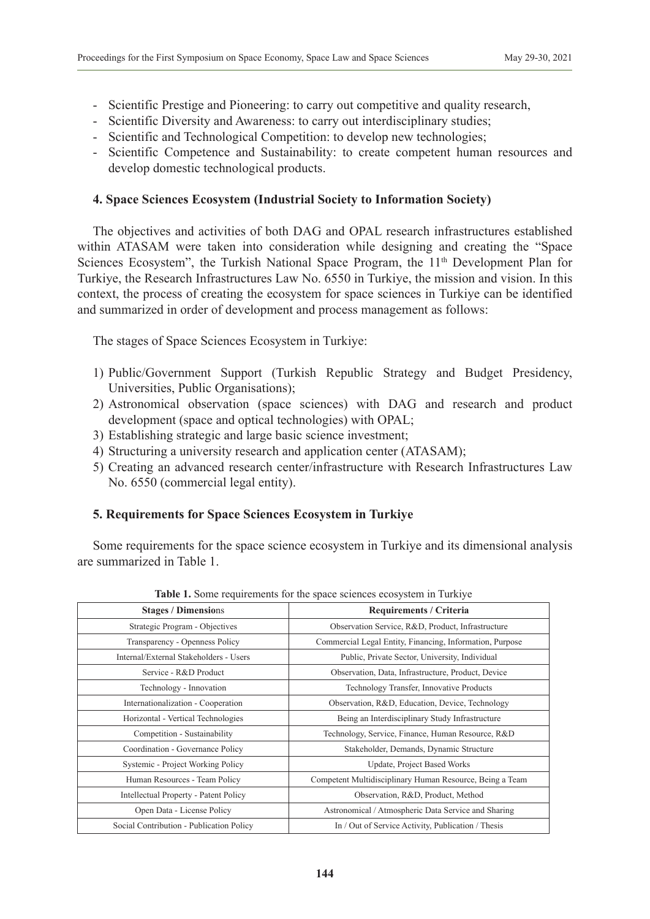- Scientific Prestige and Pioneering: to carry out competitive and quality research,
- Scientific Diversity and Awareness: to carry out interdisciplinary studies;
- Scientific and Technological Competition: to develop new technologies;
- Scientific Competence and Sustainability: to create competent human resources and develop domestic technological products.

#### **4. Space Sciences Ecosystem (Industrial Society to Information Society)**

The objectives and activities of both DAG and OPAL research infrastructures established within ATASAM were taken into consideration while designing and creating the "Space Sciences Ecosystem", the Turkish National Space Program, the 11<sup>th</sup> Development Plan for Turkiye, the Research Infrastructures Law No. 6550 in Turkiye, the mission and vision. In this context, the process of creating the ecosystem for space sciences in Turkiye can be identified and summarized in order of development and process management as follows:

The stages of Space Sciences Ecosystem in Turkiye:

- 1) Public/Government Support (Turkish Republic Strategy and Budget Presidency, Universities, Public Organisations);
- 2) Astronomical observation (space sciences) with DAG and research and product development (space and optical technologies) with OPAL;
- 3) Establishing strategic and large basic science investment;
- 4) Structuring a university research and application center (ATASAM);
- 5) Creating an advanced research center/infrastructure with Research Infrastructures Law No. 6550 (commercial legal entity).

# **5. Requirements for Space Sciences Ecosystem in Turkiye**

Some requirements for the space science ecosystem in Turkiye and its dimensional analysis are summarized in Table 1.

| 010 11 DOM 109 MM 01101110 101 MM 0pm 0 001011000 0000 povem m 1 mm p |                                                          |  |  |  |  |  |  |  |
|-----------------------------------------------------------------------|----------------------------------------------------------|--|--|--|--|--|--|--|
| <b>Stages / Dimensions</b>                                            | <b>Requirements / Criteria</b>                           |  |  |  |  |  |  |  |
| Strategic Program - Objectives                                        | Observation Service, R&D, Product, Infrastructure        |  |  |  |  |  |  |  |
| Transparency - Openness Policy                                        | Commercial Legal Entity, Financing, Information, Purpose |  |  |  |  |  |  |  |
| Internal/External Stakeholders - Users                                | Public, Private Sector, University, Individual           |  |  |  |  |  |  |  |
| Service - R&D Product                                                 | Observation, Data, Infrastructure, Product, Device       |  |  |  |  |  |  |  |
| Technology - Innovation                                               | Technology Transfer, Innovative Products                 |  |  |  |  |  |  |  |
| Internationalization - Cooperation                                    | Observation, R&D, Education, Device, Technology          |  |  |  |  |  |  |  |
| Horizontal - Vertical Technologies                                    | Being an Interdisciplinary Study Infrastructure          |  |  |  |  |  |  |  |
| Competition - Sustainability                                          | Technology, Service, Finance, Human Resource, R&D        |  |  |  |  |  |  |  |
| Coordination - Governance Policy                                      | Stakeholder, Demands, Dynamic Structure                  |  |  |  |  |  |  |  |
| Systemic - Project Working Policy                                     | Update, Project Based Works                              |  |  |  |  |  |  |  |
| Human Resources - Team Policy                                         | Competent Multidisciplinary Human Resource, Being a Team |  |  |  |  |  |  |  |
| Intellectual Property - Patent Policy                                 | Observation, R&D, Product, Method                        |  |  |  |  |  |  |  |
| Open Data - License Policy                                            | Astronomical / Atmospheric Data Service and Sharing      |  |  |  |  |  |  |  |
| Social Contribution - Publication Policy                              | In / Out of Service Activity, Publication / Thesis       |  |  |  |  |  |  |  |

|  | Table 1. Some requirements for the space sciences ecosystem in Turkiye |  |  |  |  |
|--|------------------------------------------------------------------------|--|--|--|--|
|  |                                                                        |  |  |  |  |